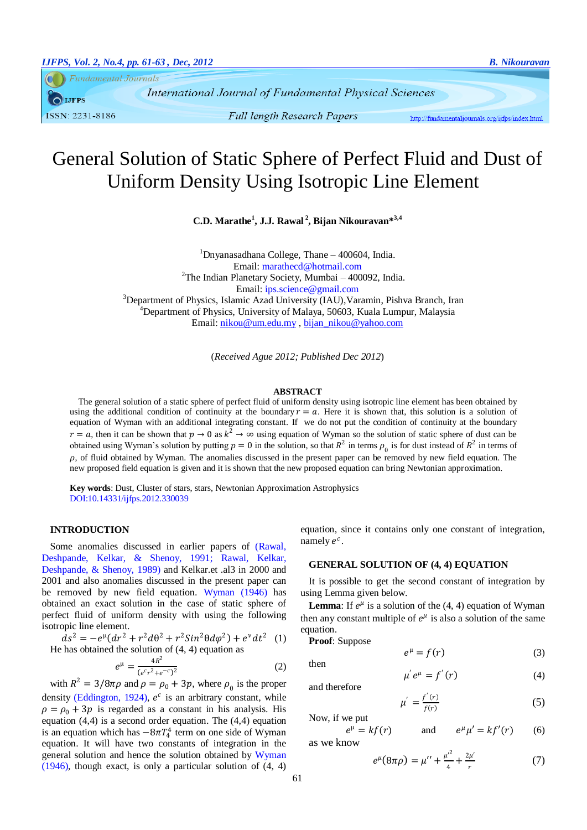**Fundamental Journals** 

**IJFPS** ISSN: 2231-8186

**Full length Research Papers** 

http://fundamentaliournals.org/iifps/index.html

# General Solution of Static Sphere of Perfect Fluid and Dust of Uniform Density Using Isotropic Line Element

**C.D. Marathe<sup>1</sup> , J.J. Rawal <sup>2</sup> , Bijan Nikouravan\* 3,4**

 $1$ Dnyanasadhana College, Thane – 400604, India. Email: marathecd@hotmail.com <sup>2</sup>The Indian Planetary Society, Mumbai – 400092, India. Email: ips.science@gmail.com <sup>3</sup>Department of Physics, Islamic Azad University (IAU), Varamin, Pishva Branch, Iran <sup>4</sup>Department of Physics, University of Malaya, 50603, Kuala Lumpur, Malaysia Email[: nikou@um.edu.my](mailto:nikou@um.edu.my) , [bijan\\_nikou@yahoo.com](file:///H:\1-Fundamental%20Journals%20(IJFPS-IJFPSS)\1-Fundamental%20Journals%20%20(IJFPS-ISFPSS)%20March%202012\1-IJFPS\2-Year%202-2012%20%20IJPFS\2012-%20N2%20(IJFPS)\29-Bijan\7-%20Final\bijan_nikou@yahoo.com)

(*Received Ague 2012; Published Dec 2012*)

#### **ABSTRACT**

The general solution of a static sphere of perfect fluid of uniform density using isotropic line element has been obtained by using the additional condition of continuity at the boundary  $r = a$ . Here it is shown that, this solution is a solution of equation of Wyman with an additional integrating constant. If we do not put the condition of continuity at the boundary  $r = a$ , then it can be shown that  $p \to 0$  as  $k^2 \to \infty$  using equation of Wyman so the solution of static sphere of dust can be obtained using Wyman's solution by putting  $p = 0$  in the solution, so that  $R^2$  in terms  $\rho_0$  is for dust instead of  $R^2$  in terms of  $\rho$ , of fluid obtained by Wyman. The anomalies discussed in the present paper can be removed by new field equation. The new proposed field equation is given and it is shown that the new proposed equation can bring Newtonian approximation.

**Key words**: Dust, Cluster of stars, stars, Newtonian Approximation Astrophysics DOI:10.14331/ijfps.2012.330039

## **INTRODUCTION**

Some anomalies discussed in earlier papers of [\(Rawal,](#page-2-0)  [Deshpande, Kelkar, & Shenoy, 1991;](#page-2-0) [Rawal, Kelkar,](#page-2-1)  [Deshpande, & Shenoy, 1989\)](#page-2-1) and Kelkar.et .al3 in 2000 and 2001 and also anomalies discussed in the present paper can be removed by new field equation. [Wyman \(1946\)](#page-2-2) has obtained an exact solution in the case of static sphere of perfect fluid of uniform density with using the following isotropic line element.

 $ds^{2} = -e^{\mu}(dr^{2} + r^{2}d\theta^{2} + r^{2}Sin^{2}\theta d\varphi^{2}) + e^{\nu}dt^{2}$  (1) He has obtained the solution of  $(4, 4)$  equation as

$$
e^{\mu} = \frac{4R^2}{(e^c r^2 + e^{-c})^2}
$$
 (2)

with  $R^2 = 3/8\pi\rho$  and  $\rho = \rho_0 + 3p$ , where  $\rho_0$  is the proper density [\(Eddington, 1924\)](#page-2-3),  $e^c$  is an arbitrary constant, while  $\rho = \rho_0 + 3p$  is regarded as a constant in his analysis. His equation (4,4) is a second order equation. The (4,4) equation is an equation which has  $-8\pi T_4^4$  term on one side of Wyman equation. It will have two constants of integration in the general solution and hence the solution obtained by [Wyman](#page-2-2)  [\(1946\)](#page-2-2), though exact, is only a particular solution of (4, 4)

equation, since it contains only one constant of integration, namely  $e^c$ .

#### **GENERAL SOLUTION OF (4, 4) EQUATION**

It is possible to get the second constant of integration by using Lemma given below.

**Lemma**: If  $e^{\mu}$  is a solution of the (4, 4) equation of Wyman then any constant multiple of  $e^{\mu}$  is also a solution of the same equation.

$$
e^{\mu} = f(r) \tag{3}
$$

 $\mu' e^{\mu} = f'(r)$  (4)

and therefore

**Proof**: Suppose

$$
\mu' = \frac{f'(r)}{f(r)}\tag{5}
$$

Now, if we put

$$
e^{\mu} = kf(r) \qquad \text{and} \qquad e^{\mu} \mu' = kf'(r) \qquad (6)
$$
  
we know

$$
e^{\mu}(8\pi\rho) = \mu'' + \frac{\mu'^2}{4} + \frac{2\mu'}{r}
$$
 (7)

then

as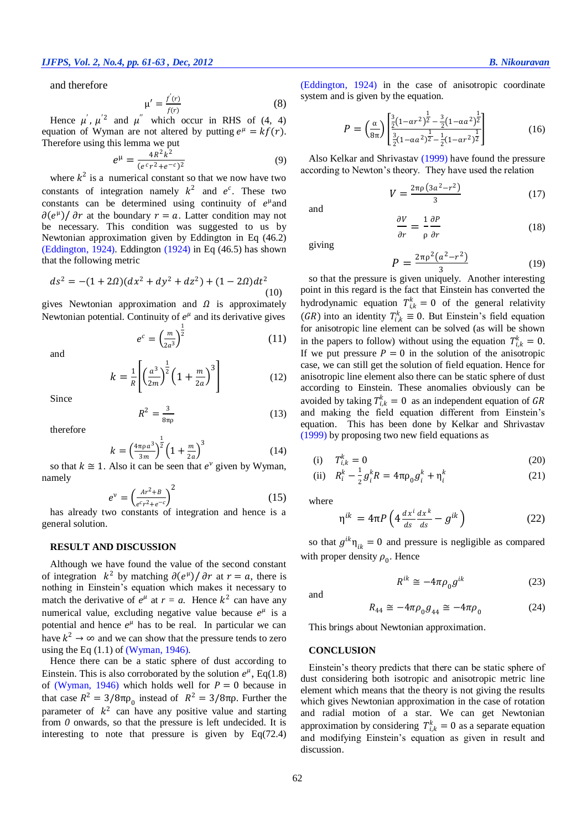and therefore

$$
\mu' = \frac{f'(r)}{f(r)}\tag{8}
$$

Hence  $\mu'$ ,  $\mu'^2$  and  $\mu''$  which occur in RHS of (4, 4) equation of Wyman are not altered by putting  $e^{\mu} = kf(r)$ . Therefore using this lemma we put

$$
e^{\mu} = \frac{4R^2k^2}{(e^c r^2 + e^{-c})^2}
$$
 (9)

where  $k^2$  is a numerical constant so that we now have two constants of integration namely  $k^2$  and  $e^c$ . These two constants can be determined using continuity of  $e^{\mu}$  and  $\partial(e^{\mu})/\partial r$  at the boundary  $r = a$ . Latter condition may not be necessary. This condition was suggested to us by Newtonian approximation given by Eddington in Eq (46.2) [\(Eddington, 1924\)](#page-2-3). [Eddington \(1924\)](#page-2-3) in Eq (46.5) has shown that the following metric

$$
ds^{2} = -(1 + 2\Omega)(dx^{2} + dy^{2} + dz^{2}) + (1 - 2\Omega)dt^{2}
$$
\n(10)

gives Newtonian approximation and  $\Omega$  is approximately Newtonian potential. Continuity of  $e^{\mu}$  and its derivative gives

> $e^c = \left(\frac{m}{a}\right)$  $\frac{m}{2a^3}$ 1 2

and

$$
k = \frac{1}{R} \left[ \left( \frac{a^3}{2m} \right)^{\frac{1}{2}} \left( 1 + \frac{m}{2a} \right)^3 \right]
$$
 (12)

Since

$$
R^2 = \frac{3}{8\pi\rho} \tag{13}
$$

therefore

$$
k = \left(\frac{4\pi \rho a^3}{3m}\right)^{\frac{1}{2}} \left(1 + \frac{m}{2a}\right)^3
$$
 (14)

so that  $k \approx 1$ . Also it can be seen that  $e^v$  given by Wyman, namely

$$
e^{\nu} = \left(\frac{Ar^2 + B}{e^c r^2 + e^{-c}}\right)^2\tag{15}
$$

has already two constants of integration and hence is a general solution.

### **RESULT AND DISCUSSION**

Although we have found the value of the second constant of integration  $k^2$  by matching  $\partial(e^{\mu})/\partial r$  at  $r = a$ , there is nothing in Einstein's equation which makes it necessary to match the derivative of  $e^{\mu}$  at  $r = a$ . Hence  $k^2$  can have any numerical value, excluding negative value because  $e^{\mu}$  is a potential and hence  $e^{\mu}$  has to be real. In particular we can have  $k^2 \to \infty$  and we can show that the pressure tends to zero using the Eq  $(1.1)$  of [\(Wyman, 1946\)](#page-2-2).

Hence there can be a static sphere of dust according to Einstein. This is also corroborated by the solution  $e^{\mu}$ , Eq(1.8) of [\(Wyman, 1946\)](#page-2-2) which holds well for  $P = 0$  because in that case  $R^2 = 3/8\pi\rho_0$  instead of  $R^2 = 3/8\pi\rho$ . Further the parameter of  $k^2$  can have any positive value and starting from *0* onwards, so that the pressure is left undecided. It is interesting to note that pressure is given by Eq(72.4)

[\(Eddington, 1924\)](#page-2-3) in the case of anisotropic coordinate system and is given by the equation.

$$
P = \left(\frac{\alpha}{8\pi}\right) \left[ \frac{\frac{3}{2}(1-\alpha r^2)^{\frac{1}{2}} - \frac{3}{2}(1-\alpha a^2)^{\frac{1}{2}}}{\frac{3}{2}(1-\alpha a^2)^{\frac{1}{2}} - \frac{1}{2}(1-\alpha r^2)^{\frac{1}{2}}} \right]
$$
(16)

Also Kelkar and Shrivastav (1999) have found the pressure according to Newton's theory. They have used the relation

$$
V = \frac{2\pi\rho (3a^2 - r^2)}{3} \tag{17}
$$

and

$$
\frac{\partial V}{\partial r} = \frac{1}{\rho} \frac{\partial P}{\partial r}
$$
 (18)

giving

(11)

$$
P = \frac{2\pi\rho^2(a^2 - r^2)}{3} \tag{19}
$$

so that the pressure is given uniquely. Another interesting point in this regard is the fact that Einstein has converted the hydrodynamic equation  $T_{i,k}^k = 0$  of the general relativity (GR) into an identity  $T_{i,k}^k \equiv 0$ . But Einstein's field equation for anisotropic line element can be solved (as will be shown in the papers to follow) without using the equation  $T_{i,k}^k = 0$ . If we put pressure  $P = 0$  in the solution of the anisotropic case, we can still get the solution of field equation. Hence for anisotropic line element also there can be static sphere of dust according to Einstein. These anomalies obviously can be avoided by taking  $T_{i,k}^k = 0$  as an independent equation of GR and making the field equation different from Einstein's equation. This has been done by Kelkar and Shrivastav (1999) by proposing two new field equations as

$$
(i) \tT_{i,k}^k = 0 \t(20)
$$

(ii) 
$$
R_i^k - \frac{1}{2} g_i^k R = 4 \pi \rho_0 g_i^k + \eta_i^k
$$
 (21)

where

$$
\eta^{ik} = 4\pi P \left( 4 \frac{dx^i}{ds} \frac{dx^k}{ds} - g^{ik} \right) \tag{22}
$$

so that  $g^{ik} \eta_{ik} = 0$  and pressure is negligible as compared with proper density  $\rho_0$ . Hence

$$
R^{ik} \cong -4\pi\rho_0 g^{ik} \tag{23}
$$

and

$$
R_{44} \cong -4\pi\rho_0 g_{44} \cong -4\pi\rho_0 \tag{24}
$$

This brings about Newtonian approximation.

#### **CONCLUSION**

Einstein's theory predicts that there can be static sphere of dust considering both isotropic and anisotropic metric line element which means that the theory is not giving the results which gives Newtonian approximation in the case of rotation and radial motion of a star. We can get Newtonian approximation by considering  $T_{i,k}^k = 0$  as a separate equation and modifying Einstein's equation as given in result and discussion.